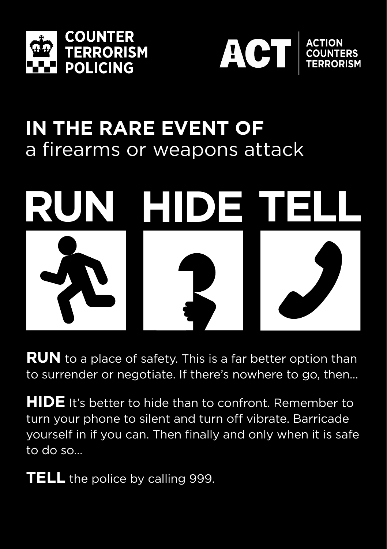



## **IN THE RARE EVENT OF**  a firearms or weapons attack



**RUN** to a place of safety. This is a far better option than to surrender or negotiate. If there's nowhere to go, then…

**HIDE** It's better to hide than to confront. Remember to turn your phone to silent and turn off vibrate. Barricade yourself in if you can. Then finally and only when it is safe to do so…

**TELL** the police by calling 999.